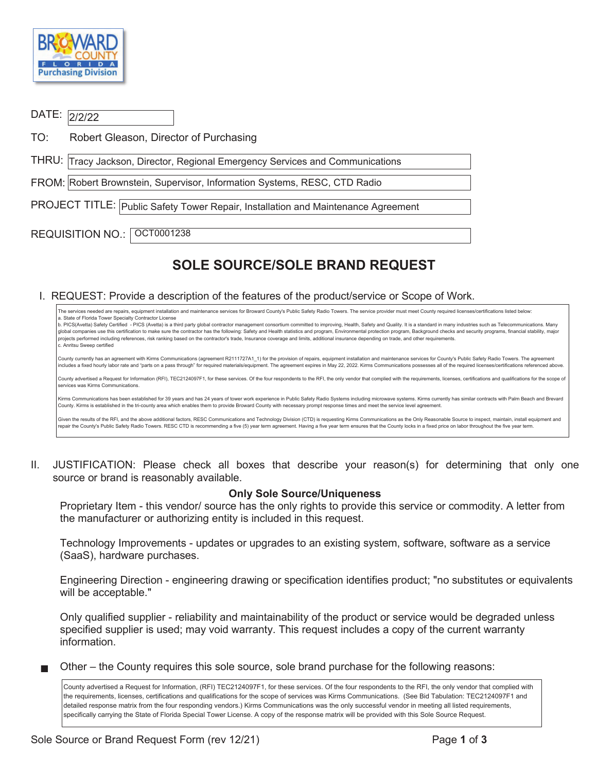

# DATE: 2/2/22

TO: Robert Gleason, Director of Purchasing

THRU: Tracy Jackson, Director, Regional Emergency Services and Communications

FROM: Robert Brownstein, Supervisor, Information Systems, RESC, CTD Radio

PROJECT TITLE: Public Safety Tower Repair, Installation and Maintenance Agreement

REQUISITION NO.: | OCT0001238

# **SOLE SOURCE/SOLE BRAND REQUEST**

#### I. REQUEST: Provide a description of the features of the product/service or Scope of Work.

The services needed are repairs, equipment installation and maintenance services for Broward County's Public Safety Radio Towers. The service provider must meet County required licenses/certifications listed below: a. State of Florida Tower Specialty Contractor License b. PICS(Avetta) Safety Certified - PICS (Avetta) is a third party global contractor management consortium committed to improving, Health, Safety and Quality. It is a standard in many industries such as Telecommunications. global companies use this certification to make sure the contractor has the following: Safety and Health statistics and program, Environmental protection program, Background checks and security programs, financial stabilit projects performed including references, risk ranking based on the contractor's trade, Insurance coverage and limits, additional insurance depending on trade, and other requirements. c. Anritsu Sweep certified County currently has an agreement with Kirms Communications (agreement R2111727A1\_1) for the provision of repairs, equipment installation and maintenance services for County's Public Safety Radio Towers. The agreement includes a fixed hourly labor rate and "parts on a pass through" for required materials/equipment. The agreement expires in May 22, 2022. Kirms Communications possesses all of the required licenses/certifications reference County advertised a Request for Information (RFI), TEC2124097F1, for these services. Of the four respondents to the RFI, the only vendor that complied with the requirements, licenses, certifications and qualifications for services was Kirms Communications. Kirms Communications has been established for 39 years and has 24 years of tower work experience in Public Safety Radio Systems including microwave systems. Kirms currently has similar contracts with Palm Beach and Brevard County. Kirms is established in the tri-county area which enables them to provide Broward County with necessary prompt response times and meet the service level agreement. Given the results of the RFI, and the above additional factors, RESC Communications and Technology Division (CTD) is requesting Kirms Communications as the Only Reasonable Source to inspect, maintain, install equipment and repair the County's Public Safety Radio Towers. RESC CTD is recommending a five (5) year term agreement. Having a five year term ensures that the County locks in a fixed price on labor throughout the five year term.

II. JUSTIFICATION: Please check all boxes that describe your reason(s) for determining that only one source or brand is reasonably available.

## **Only Sole Source/Uniqueness**

 Proprietary Item - this vendor/ source has the only rights to provide this service or commodity. A letter from the manufacturer or authorizing entity is included in this request.

 Technology Improvements - updates or upgrades to an existing system, software, software as a service (SaaS), hardware purchases.

Engineering Direction - engineering drawing or specification identifies product; "no substitutes or equivalents will be acceptable."

Only qualified supplier - reliability and maintainability of the product or service would be degraded unless specified supplier is used; may void warranty. This request includes a copy of the current warranty information.

Other – the County requires this sole source, sole brand purchase for the following reasons:

County advertised a Request for Information, (RFI) TEC2124097F1, for these services. Of the four respondents to the RFI, the only vendor that complied with the requirements, licenses, certifications and qualifications for the scope of services was Kirms Communications. (See Bid Tabulation: TEC2124097F1 and detailed response matrix from the four responding vendors.) Kirms Communications was the only successful vendor in meeting all listed requirements, specifically carrying the State of Florida Special Tower License. A copy of the response matrix will be provided with this Sole Source Request.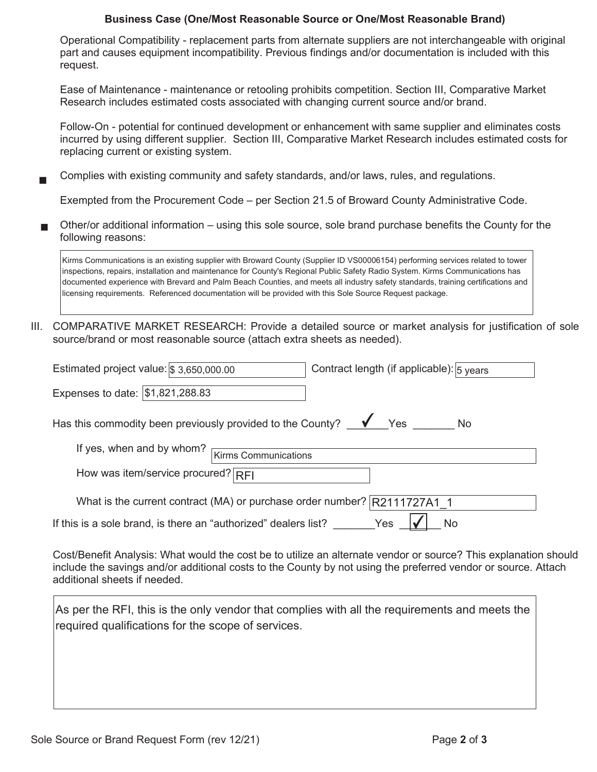## **Business Case (One/Most Reasonable Source or One/Most Reasonable Brand)**

 Operational Compatibility - replacement parts from alternate suppliers are not interchangeable with original part and causes equipment incompatibility. Previous findings and/or documentation is included with this request.

Ease of Maintenance - maintenance or retooling prohibits competition. Section III, Comparative Market Research includes estimated costs associated with changing current source and/or brand.

Follow-On - potential for continued development or enhancement with same supplier and eliminates costs incurred by using different supplier. Section III, Comparative Market Research includes estimated costs for replacing current or existing system.

Complies with existing community and safety standards, and/or laws, rules, and regulations.

Exempted from the Procurement Code – per Section 21.5 of Broward County Administrative Code.

■ Other/or additional information – using this sole source, sole brand purchase benefits the County for the following reasons:

Kirms Communications is an existing supplier with Broward County (Supplier ID VS00006154) performing services related to tower inspections, repairs, installation and maintenance for County's Regional Public Safety Radio System. Kirms Communications has documented experience with Brevard and Palm Beach Counties, and meets all industry safety standards, training certifications and licensing requirements. Referenced documentation will be provided with this Sole Source Request package.

 source/brand or most reasonable source (attach extra sheets as needed). III. COMPARATIVE MARKET RESEARCH: Provide a detailed source or market analysis for justification of sole

| Estimated project value: $\frac{1}{3}$ 3,650,000.00                      | Contract length (if applicable): 5 years |
|--------------------------------------------------------------------------|------------------------------------------|
| Expenses to date: \$1,821,288.83                                         |                                          |
| Has this commodity been previously provided to the County?               | $\sqrt{\ }$ Yes<br>No                    |
| If yes, when and by whom?<br><b>Kirms Communications</b>                 |                                          |
| How was item/service procured? $RFI$                                     |                                          |
| What is the current contract (MA) or purchase order number? R2111727A1 1 |                                          |
| If this is a sole brand, is there an "authorized" dealers list?          | Yes<br>No                                |

Cost/Benefit Analysis: What would the cost be to utilize an alternate vendor or source? This explanation should include the savings and/or additional costs to the County by not using the preferred vendor or source. Attach additional sheets if needed.

As per the RFI, this is the only vendor that complies with all the requirements and meets the required qualifications for the scope of services.